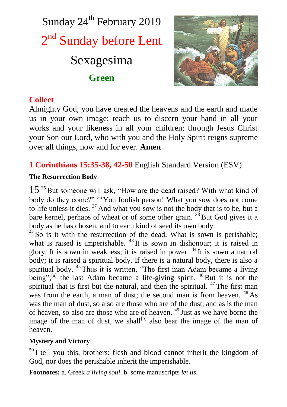



# **Collect**

Almighty God, you have created the heavens and the earth and made us in your own image: teach us to discern your hand in all your works and your likeness in all your children; through Jesus Christ your Son our Lord, who with you and the Holy Spirit reigns supreme over all things, now and for ever. **Amen**

**1 Corinthians 15:35-38, 42-50** English Standard Version (ESV)

# **The Resurrection Body**

 $15<sup>35</sup>$  But someone will ask, "How are the dead raised? With what kind of body do they come?" <sup>36</sup> You foolish person! What you sow does not come to life unless it dies. <sup>37</sup> And what you sow is not the body that is to be, but a bare kernel, perhaps of wheat or of some other grain.  $38$  But God gives it a body as he has chosen, and to each kind of seed its own body.

 $^{42}$  So is it with the resurrection of the dead. What is sown is perishable: what is raised is imperishable.  $43$  It is sown in dishonour; it is raised in glory. It is sown in weakness; it is raised in power. <sup>44</sup> It is sown a natural body; it is raised a spiritual body. If there is a natural body, there is also a spiritual body. <sup>45</sup>Thus it is written, "The first man Adam became a living being";<sup>[a]</sup> the last Adam became a life-giving spirit.  $46$  But it is not the spiritual that is first but the natural, and then the spiritual.  $47$  The first man was from the earth, a man of dust; the second man is from heaven. <sup>48</sup> As was the man of dust, so also are those who are of the dust, and as is the man of heaven, so also are those who are of heaven. <sup>49</sup> Just as we have borne the image of the man of dust, we shall<sup>[b]</sup> also bear the image of the man of heaven.

# **Mystery and Victory**

<sup>50</sup> I tell you this, brothers: flesh and blood cannot inherit the kingdom of God, nor does the perishable inherit the imperishable.

**Footnotes:** a. Greek *a living soul*. b. some manuscripts *let us*.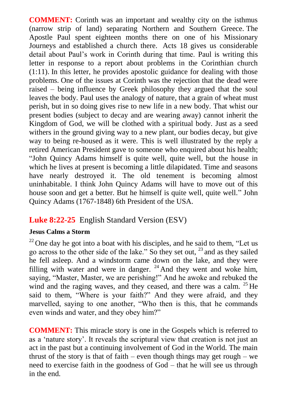**COMMENT:** Corinth was an important and wealthy city on the isthmus (narrow strip of land) separating Northern and Southern Greece. The Apostle Paul spent eighteen months there on one of his Missionary Journeys and established a church there. Acts 18 gives us considerable detail about Paul's work in Corinth during that time. Paul is writing this letter in response to a report about problems in the Corinthian church (1:11). In this letter, he provides apostolic guidance for dealing with those problems. One of the issues at Corinth was the rejection that the dead were raised – being influence by Greek philosophy they argued that the soul leaves the body. Paul uses the analogy of nature, that a grain of wheat must perish, but in so doing gives rise to new life in a new body. That whist our present bodies (subject to decay and are wearing away) cannot inherit the Kingdom of God, we will be clothed with a spiritual body. Just as a seed withers in the ground giving way to a new plant, our bodies decay, but give way to being re-housed as it were. This is well illustrated by the reply a retired American President gave to someone who enquired about his health; "John Quincy Adams himself is quite well, quite well, but the house in which he lives at present is becoming a little dilapidated. Time and seasons have nearly destroyed it. The old tenement is becoming almost uninhabitable. I think John Quincy Adams will have to move out of this house soon and get a better. But he himself is quite well, quite well." John Quincy Adams (1767-1848) 6th President of the USA.

# **Luke 8:22-25** English Standard Version (ESV)

#### **Jesus Calms a Storm**

 $^{22}$  One day he got into a boat with his disciples, and he said to them, "Let us go across to the other side of the lake." So they set out, <sup>23</sup> and as they sailed he fell asleep. And a windstorm came down on the lake, and they were filling with water and were in danger.  $24$  And they went and woke him, saying, "Master, Master, we are perishing!" And he awoke and rebuked the wind and the raging waves, and they ceased, and there was a calm. <sup>25</sup> He said to them, "Where is your faith?" And they were afraid, and they marvelled, saying to one another, "Who then is this, that he commands even winds and water, and they obey him?"

**COMMENT:** This miracle story is one in the Gospels which is referred to as a 'nature story'. It reveals the scriptural view that creation is not just an act in the past but a continuing involvement of God in the World. The main thrust of the story is that of faith – even though things may get rough – we need to exercise faith in the goodness of God – that he will see us through in the end.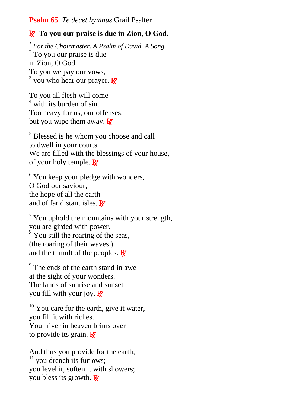### **Psalm 65** *Te decet hymnus* Grail Psalter

# R **To you our praise is due in Zion, O God.**

*<sup>1</sup> For the Choirmaster. A Psalm of David. A Song.* <sup>2</sup> To you our praise is due in Zion, O God. To you we pay our vows,  $3$  you who hear our prayer. R

To you all flesh will come <sup>4</sup> with its burden of sin. Too heavy for us, our offenses, but you wipe them away.  $\mathbf{R}$ 

<sup>5</sup> Blessed is he whom you choose and call to dwell in your courts. We are filled with the blessings of your house, of your holy temple.  $\mathbb{R}^7$ 

 $6$  You keep your pledge with wonders. O God our saviour, the hope of all the earth and of far distant isles.  $\mathbf{R}^{\prime}$ 

 $\frac{7}{7}$  You uphold the mountains with your strength, you are girded with power.  $8$  You still the roaring of the seas, (the roaring of their waves,) and the tumult of the peoples.  $\mathbb{R}^7$ 

 $9<sup>9</sup>$  The ends of the earth stand in awe at the sight of your wonders. The lands of sunrise and sunset you fill with your joy.  $\mathbb{R}^7$ 

 $10$  You care for the earth, give it water, you fill it with riches. Your river in heaven brims over to provide its grain.  $\mathbf{R}$ <sup>*z*</sup>

And thus you provide for the earth;  $11$  you drench its furrows; you level it, soften it with showers; you bless its growth.  $\mathbb{R}^7$